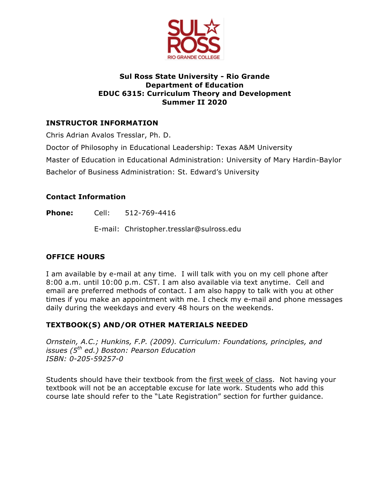

## **Sul Ross State University - Rio Grande Department of Education EDUC 6315: Curriculum Theory and Development Summer II 2020**

# **INSTRUCTOR INFORMATION**

Chris Adrian Avalos Tresslar, Ph. D.

Doctor of Philosophy in Educational Leadership: Texas A&M University

Master of Education in Educational Administration: University of Mary Hardin-Baylor

Bachelor of Business Administration: St. Edward's University

## **Contact Information**

**Phone:** Cell: 512-769-4416

E-mail: Christopher.tresslar@sulross.edu

## **OFFICE HOURS**

I am available by e-mail at any time. I will talk with you on my cell phone after 8:00 a.m. until 10:00 p.m. CST. I am also available via text anytime. Cell and email are preferred methods of contact. I am also happy to talk with you at other times if you make an appointment with me. I check my e-mail and phone messages daily during the weekdays and every 48 hours on the weekends.

## **TEXTBOOK(S) AND/OR OTHER MATERIALS NEEDED**

*Ornstein, A.C.; Hunkins, F.P. (2009). Curriculum: Foundations, principles, and issues (5th ed.) Boston: Pearson Education ISBN: 0-205-59257-0*

Students should have their textbook from the first week of class. Not having your textbook will not be an acceptable excuse for late work. Students who add this course late should refer to the "Late Registration" section for further guidance.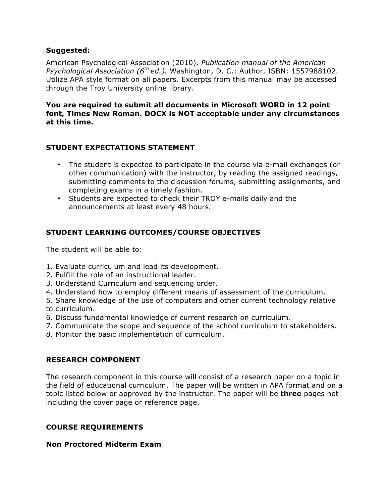#### **Suggested:**

American Psychological Association (2010). *Publication manual of the American Psychological Association (6th ed.).* Washington, D. C.: Author. ISBN: 1557988102. Utilize APA style format on all papers. Excerpts from this manual may be accessed through the Troy University online library.

### **You are required to submit all documents in Microsoft WORD in 12 point font, Times New Roman. DOCX is NOT acceptable under any circumstances at this time.**

### **STUDENT EXPECTATIONS STATEMENT**

- The student is expected to participate in the course via e-mail exchanges (or other communication) with the instructor, by reading the assigned readings, submitting comments to the discussion forums, submitting assignments, and completing exams in a timely fashion.
- Students are expected to check their TROY e-mails daily and the announcements at least every 48 hours.

## **STUDENT LEARNING OUTCOMES/COURSE OBJECTIVES**

The student will be able to:

- 1. Evaluate curriculum and lead its development.
- 2. Fulfill the role of an instructional leader.
- 3. Understand Curriculum and sequencing order.
- 4. Understand how to employ different means of assessment of the curriculum.
- 5. Share knowledge of the use of computers and other current technology relative to curriculum.
- 6. Discuss fundamental knowledge of current research on curriculum.
- 7. Communicate the scope and sequence of the school curriculum to stakeholders.
- 8. Monitor the basic implementation of curriculum.

## **RESEARCH COMPONENT**

The research component in this course will consist of a research paper on a topic in the field of educational curriculum. The paper will be written in APA format and on a topic listed below or approved by the instructor. The paper will be **three** pages not including the cover page or reference page.

## **COURSE REQUIREMENTS**

#### **Non Proctored Midterm Exam**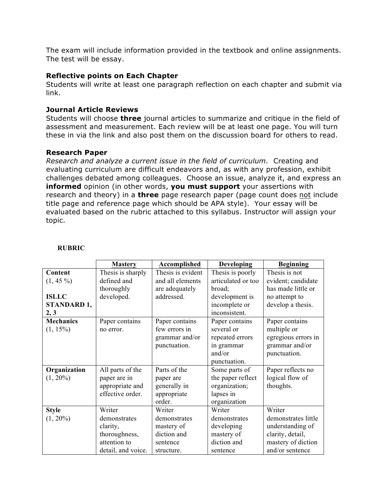The exam will include information provided in the textbook and online assignments. The test will be essay.

#### **Reflective points on Each Chapter**

Students will write at least one paragraph reflection on each chapter and submit via link.

### **Journal Article Reviews**

Students will choose **three** journal articles to summarize and critique in the field of assessment and measurement. Each review will be at least one page. You will turn these in via the link and also post them on the discussion board for others to read.

### **Research Paper**

*Research and analyze a current issue in the field of curriculum.* Creating and evaluating curriculum are difficult endeavors and, as with any profession, exhibit challenges debated among colleagues. Choose an issue, analyze it, and express an **informed** opinion (in other words, **you must support** your assertions with research and theory) in a **three** page research paper (page count does not include title page and reference page which should be APA style). Your essay will be evaluated based on the rubric attached to this syllabus. Instructor will assign your topic.

|                                  | <b>Mastery</b>     | <b>Accomplished</b> | <b>Developing</b>  | <b>Beginning</b>    |
|----------------------------------|--------------------|---------------------|--------------------|---------------------|
| Content                          | Thesis is sharply  | Thesis is evident   | Thesis is poorly   | Thesis is not       |
| $(1, 45\%)$                      | defined and        | and all elements    | articulated or too | evident; candidate  |
| thoroughly                       |                    | are adequately      | broad;             | has made little or  |
| <b>ISLLC</b><br>developed.       |                    | addressed.          | development is     | no attempt to       |
| <b>STANDARD 1,</b>               |                    |                     | incomplete or      | develop a thesis.   |
| 2, 3                             |                    |                     | inconsistent.      |                     |
| <b>Mechanics</b>                 | Paper contains     | Paper contains      | Paper contains     | Paper contains      |
| $(1, 15\%)$                      | no error.          | few errors in       | several or         | multiple or         |
|                                  |                    | grammar and/or      | repeated errors    | egregious errors in |
|                                  |                    | punctuation.        | in grammar         | grammar and/or      |
|                                  |                    |                     | and/or             | punctuation.        |
|                                  |                    |                     | punctuation.       |                     |
| Organization<br>All parts of the |                    | Parts of the        | Some parts of      | Paper reflects no   |
| $(1, 20\%)$                      | paper are in       | paper are           | the paper reflect  | logical flow of     |
|                                  | appropriate and    | generally in        | organization;      | thoughts.           |
| effective order.                 |                    | appropriate         | lapses in          |                     |
|                                  |                    | order.              | organization       |                     |
| <b>Style</b>                     | Writer             | Writer              | Writer             | Writer              |
| $(1, 20\%)$                      | demonstrates       | demonstrates        | demonstrates       | demonstrates little |
|                                  | clarity,           | mastery of          | developing         | understanding of    |
|                                  | thoroughness,      | diction and         | mastery of         | clarity, detail,    |
|                                  | attention to       | sentence            | diction and        | mastery of diction  |
|                                  | detail, and voice. | structure.          | sentence           | and/or sentence     |

#### **RUBRIC**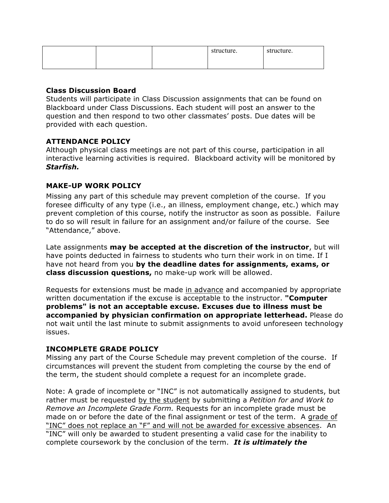|  | structure. | structure. |
|--|------------|------------|
|  |            |            |

### **Class Discussion Board**

Students will participate in Class Discussion assignments that can be found on Blackboard under Class Discussions. Each student will post an answer to the question and then respond to two other classmates' posts. Due dates will be provided with each question.

## **ATTENDANCE POLICY**

Although physical class meetings are not part of this course, participation in all interactive learning activities is required. Blackboard activity will be monitored by *Starfish.*

### **MAKE-UP WORK POLICY**

Missing any part of this schedule may prevent completion of the course. If you foresee difficulty of any type (i.e., an illness, employment change, etc.) which may prevent completion of this course, notify the instructor as soon as possible. Failure to do so will result in failure for an assignment and/or failure of the course. See "Attendance," above.

Late assignments **may be accepted at the discretion of the instructor**, but will have points deducted in fairness to students who turn their work in on time. If I have not heard from you **by the deadline dates for assignments, exams, or class discussion questions,** no make-up work will be allowed.

Requests for extensions must be made in advance and accompanied by appropriate written documentation if the excuse is acceptable to the instructor. **"Computer problems" is not an acceptable excuse. Excuses due to illness must be accompanied by physician confirmation on appropriate letterhead.** Please do not wait until the last minute to submit assignments to avoid unforeseen technology issues.

#### **INCOMPLETE GRADE POLICY**

Missing any part of the Course Schedule may prevent completion of the course. If circumstances will prevent the student from completing the course by the end of the term, the student should complete a request for an incomplete grade.

Note: A grade of incomplete or "INC" is not automatically assigned to students, but rather must be requested by the student by submitting a *Petition for and Work to Remove an Incomplete Grade Form.* Requests for an incomplete grade must be made on or before the date of the final assignment or test of the term. A grade of "INC" does not replace an "F" and will not be awarded for excessive absences. An "INC" will only be awarded to student presenting a valid case for the inability to complete coursework by the conclusion of the term. *It is ultimately the*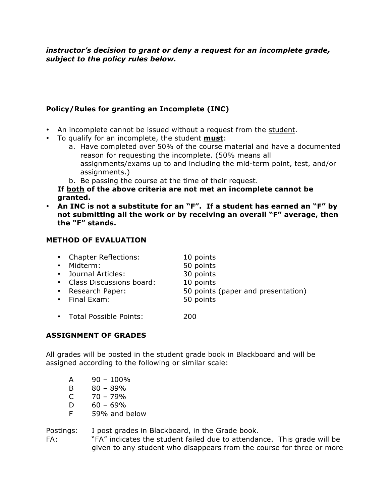*instructor's decision to grant or deny a request for an incomplete grade, subject to the policy rules below.* 

# **Policy/Rules for granting an Incomplete (INC)**

- An incomplete cannot be issued without a request from the student.
- To qualify for an incomplete, the student **must**:
	- a. Have completed over 50% of the course material and have a documented reason for requesting the incomplete. (50% means all assignments/exams up to and including the mid-term point, test, and/or assignments.)
	- b. Be passing the course at the time of their request.
	- **If both of the above criteria are not met an incomplete cannot be granted.**
- **An INC is not a substitute for an "F". If a student has earned an "F" by not submitting all the work or by receiving an overall "F" average, then the "F" stands.**

### **METHOD OF EVALUATION**

| • Chapter Reflections:<br>• Midterm:<br>• Journal Articles:<br>• Class Discussions board:<br>• Research Paper:<br>• Final Exam: | 10 points<br>50 points<br>30 points<br>10 points<br>50 points (paper and presentation)<br>50 points |
|---------------------------------------------------------------------------------------------------------------------------------|-----------------------------------------------------------------------------------------------------|
| • Total Possible Points:                                                                                                        | 200                                                                                                 |

# **ASSIGNMENT OF GRADES**

All grades will be posted in the student grade book in Blackboard and will be assigned according to the following or similar scale:

- $A = 90 100\%$
- B  $80 89\%$
- $C = 70 79%$
- $D = 60 69\%$
- F 59% and below

Postings: I post grades in Blackboard, in the Grade book.

FA: "FA" indicates the student failed due to attendance. This grade will be given to any student who disappears from the course for three or more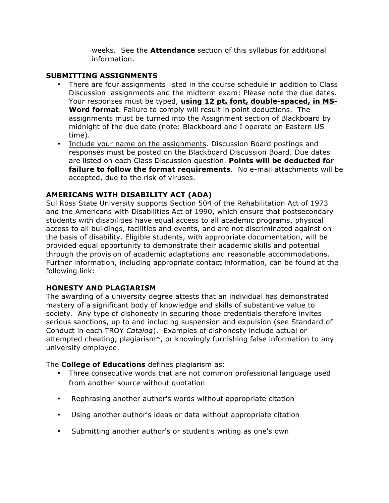weeks. See the **Attendance** section of this syllabus for additional information.

### **SUBMITTING ASSIGNMENTS**

- There are four assignments listed in the course schedule in addition to Class Discussion assignments and the midterm exam: Please note the due dates. Your responses must be typed, **using 12 pt. font, double-spaced, in MS-Word format**. Failure to comply will result in point deductions. The assignments must be turned into the Assignment section of Blackboard by midnight of the due date (note: Blackboard and I operate on Eastern US time).
- Include your name on the assignments. Discussion Board postings and responses must be posted on the Blackboard Discussion Board. Due dates are listed on each Class Discussion question. **Points will be deducted for failure to follow the format requirements**. No e-mail attachments will be accepted, due to the risk of viruses.

## **AMERICANS WITH DISABILITY ACT (ADA)**

Sul Ross State University supports Section 504 of the Rehabilitation Act of 1973 and the Americans with Disabilities Act of 1990, which ensure that postsecondary students with disabilities have equal access to all academic programs, physical access to all buildings, facilities and events, and are not discriminated against on the basis of disability. Eligible students, with appropriate documentation, will be provided equal opportunity to demonstrate their academic skills and potential through the provision of academic adaptations and reasonable accommodations. Further information, including appropriate contact information, can be found at the following link:

## **HONESTY AND PLAGIARISM**

The awarding of a university degree attests that an individual has demonstrated mastery of a significant body of knowledge and skills of substantive value to society. Any type of dishonesty in securing those credentials therefore invites serious sanctions, up to and including suspension and expulsion (see Standard of Conduct in each TROY *Catalog*). Examples of dishonesty include actual or attempted cheating, plagiarism\*, or knowingly furnishing false information to any university employee.

The **College of Educations** defines plagiarism as:

- Three consecutive words that are not common professional language used from another source without quotation
- Rephrasing another author's words without appropriate citation
- Using another author's ideas or data without appropriate citation
- Submitting another author's or student's writing as one's own